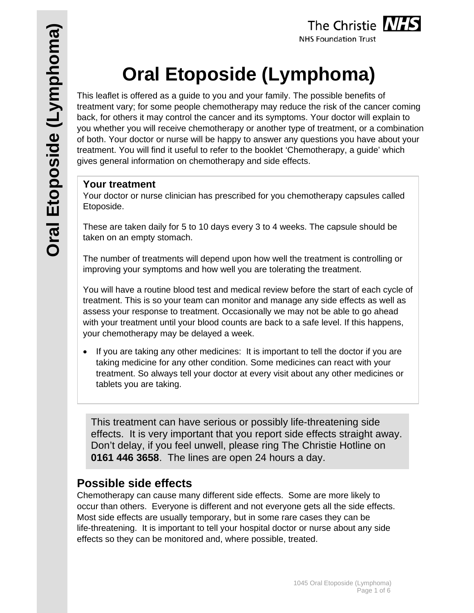

# **Oral Etoposide (Lymphoma)**

This leaflet is offered as a guide to you and your family. The possible benefits of treatment vary; for some people chemotherapy may reduce the risk of the cancer coming back, for others it may control the cancer and its symptoms. Your doctor will explain to you whether you will receive chemotherapy or another type of treatment, or a combination of both. Your doctor or nurse will be happy to answer any questions you have about your treatment. You will find it useful to refer to the booklet 'Chemotherapy, a guide' which gives general information on chemotherapy and side effects.

## **Your treatment**

Your doctor or nurse clinician has prescribed for you chemotherapy capsules called Etoposide.

These are taken daily for 5 to 10 days every 3 to 4 weeks. The capsule should be taken on an empty stomach.

The number of treatments will depend upon how well the treatment is controlling or improving your symptoms and how well you are tolerating the treatment.

You will have a routine blood test and medical review before the start of each cycle of treatment. This is so your team can monitor and manage any side effects as well as assess your response to treatment. Occasionally we may not be able to go ahead with your treatment until your blood counts are back to a safe level. If this happens, your chemotherapy may be delayed a week.

 If you are taking any other medicines: It is important to tell the doctor if you are taking medicine for any other condition. Some medicines can react with your treatment. So always tell your doctor at every visit about any other medicines or tablets you are taking.

This treatment can have serious or possibly life-threatening side effects. It is very important that you report side effects straight away. Don't delay, if you feel unwell, please ring The Christie Hotline on **0161 446 3658**. The lines are open 24 hours a day.

## **Possible side effects**

Chemotherapy can cause many different side effects. Some are more likely to occur than others. Everyone is different and not everyone gets all the side effects. Most side effects are usually temporary, but in some rare cases they can be life-threatening. It is important to tell your hospital doctor or nurse about any side effects so they can be monitored and, where possible, treated.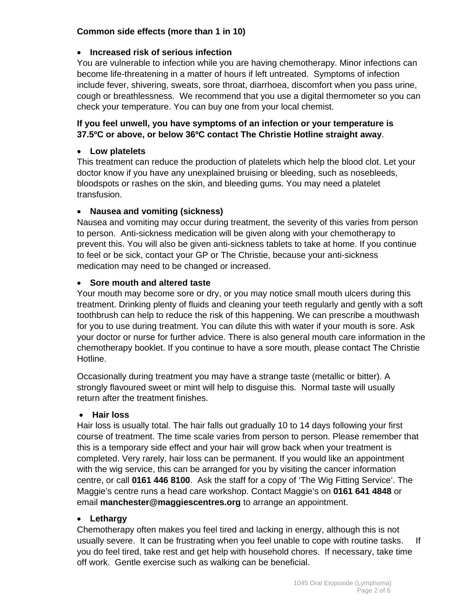#### **Common side effects (more than 1 in 10)**

#### **Increased risk of serious infection**

You are vulnerable to infection while you are having chemotherapy. Minor infections can become life-threatening in a matter of hours if left untreated. Symptoms of infection include fever, shivering, sweats, sore throat, diarrhoea, discomfort when you pass urine, cough or breathlessness. We recommend that you use a digital thermometer so you can check your temperature. You can buy one from your local chemist.

#### **If you feel unwell, you have symptoms of an infection or your temperature is 37.5ºC or above, or below 36ºC contact The Christie Hotline straight away**.

#### **Low platelets**

This treatment can reduce the production of platelets which help the blood clot. Let your doctor know if you have any unexplained bruising or bleeding, such as nosebleeds, bloodspots or rashes on the skin, and bleeding gums. You may need a platelet transfusion.

#### **Nausea and vomiting (sickness)**

Nausea and vomiting may occur during treatment, the severity of this varies from person to person. Anti-sickness medication will be given along with your chemotherapy to prevent this. You will also be given anti-sickness tablets to take at home. If you continue to feel or be sick, contact your GP or The Christie, because your anti-sickness medication may need to be changed or increased.

#### **Sore mouth and altered taste**

Your mouth may become sore or dry, or you may notice small mouth ulcers during this treatment. Drinking plenty of fluids and cleaning your teeth regularly and gently with a soft toothbrush can help to reduce the risk of this happening. We can prescribe a mouthwash for you to use during treatment. You can dilute this with water if your mouth is sore. Ask your doctor or nurse for further advice. There is also general mouth care information in the chemotherapy booklet. If you continue to have a sore mouth, please contact The Christie Hotline.

Occasionally during treatment you may have a strange taste (metallic or bitter). A strongly flavoured sweet or mint will help to disguise this. Normal taste will usually return after the treatment finishes.

#### **Hair loss**

Hair loss is usually total. The hair falls out gradually 10 to 14 days following your first course of treatment. The time scale varies from person to person. Please remember that this is a temporary side effect and your hair will grow back when your treatment is completed. Very rarely, hair loss can be permanent. If you would like an appointment with the wig service, this can be arranged for you by visiting the cancer information centre, or call **0161 446 8100**. Ask the staff for a copy of 'The Wig Fitting Service'. The Maggie's centre runs a head care workshop. Contact Maggie's on **0161 641 4848** or email **manchester@maggiescentres.org** to arrange an appointment.

#### **Lethargy**

Chemotherapy often makes you feel tired and lacking in energy, although this is not usually severe. It can be frustrating when you feel unable to cope with routine tasks. If you do feel tired, take rest and get help with household chores. If necessary, take time off work. Gentle exercise such as walking can be beneficial.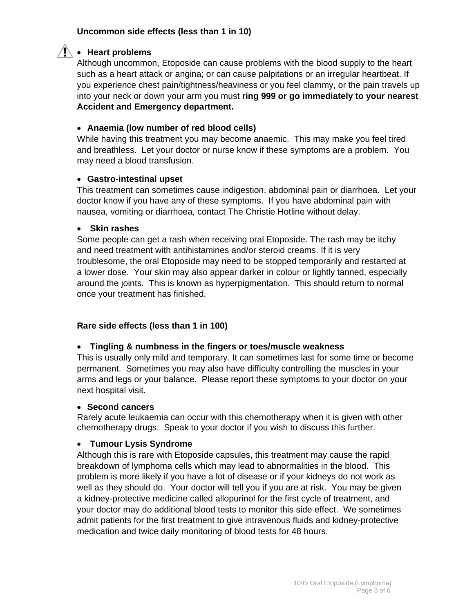#### **Uncommon side effects (less than 1 in 10)**

#### $\hat{A}$  • Heart problems

Although uncommon, Etoposide can cause problems with the blood supply to the heart such as a heart attack or angina; or can cause palpitations or an irregular heartbeat. If you experience chest pain/tightness/heaviness or you feel clammy, or the pain travels up into your neck or down your arm you must **ring 999 or go immediately to your nearest Accident and Emergency department.** 

#### **Anaemia (low number of red blood cells)**

While having this treatment you may become anaemic. This may make you feel tired and breathless. Let your doctor or nurse know if these symptoms are a problem. You may need a blood transfusion.

#### **Gastro-intestinal upset**

This treatment can sometimes cause indigestion, abdominal pain or diarrhoea. Let your doctor know if you have any of these symptoms. If you have abdominal pain with nausea, vomiting or diarrhoea, contact The Christie Hotline without delay.

#### **Skin rashes**

Some people can get a rash when receiving oral Etoposide. The rash may be itchy and need treatment with antihistamines and/or steroid creams. If it is very troublesome, the oral Etoposide may need to be stopped temporarily and restarted at a lower dose. Your skin may also appear darker in colour or lightly tanned, especially around the joints. This is known as hyperpigmentation. This should return to normal once your treatment has finished.

#### **Rare side effects (less than 1 in 100)**

#### **Tingling & numbness in the fingers or toes/muscle weakness**

This is usually only mild and temporary. It can sometimes last for some time or become permanent. Sometimes you may also have difficulty controlling the muscles in your arms and legs or your balance. Please report these symptoms to your doctor on your next hospital visit.

#### **Second cancers**

Rarely acute leukaemia can occur with this chemotherapy when it is given with other chemotherapy drugs. Speak to your doctor if you wish to discuss this further.

#### **Tumour Lysis Syndrome**

Although this is rare with Etoposide capsules, this treatment may cause the rapid breakdown of lymphoma cells which may lead to abnormalities in the blood. This problem is more likely if you have a lot of disease or if your kidneys do not work as well as they should do. Your doctor will tell you if you are at risk. You may be given a kidney-protective medicine called allopurinol for the first cycle of treatment, and your doctor may do additional blood tests to monitor this side effect. We sometimes admit patients for the first treatment to give intravenous fluids and kidney-protective medication and twice daily monitoring of blood tests for 48 hours.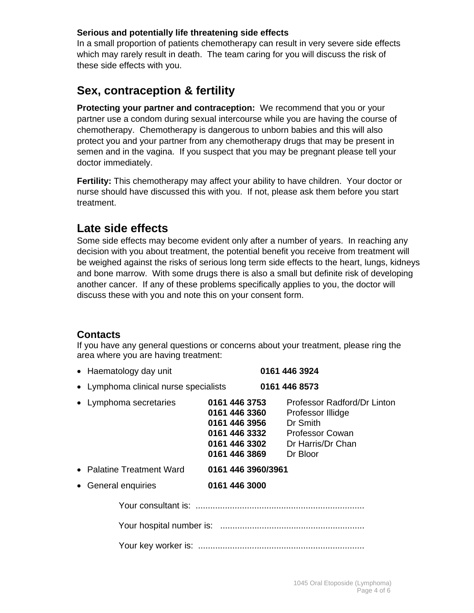#### **Serious and potentially life threatening side effects**

In a small proportion of patients chemotherapy can result in very severe side effects which may rarely result in death. The team caring for you will discuss the risk of these side effects with you.

# **Sex, contraception & fertility**

**Protecting your partner and contraception:** We recommend that you or your partner use a condom during sexual intercourse while you are having the course of chemotherapy. Chemotherapy is dangerous to unborn babies and this will also protect you and your partner from any chemotherapy drugs that may be present in semen and in the vagina. If you suspect that you may be pregnant please tell your doctor immediately.

**Fertility:** This chemotherapy may affect your ability to have children. Your doctor or nurse should have discussed this with you. If not, please ask them before you start treatment.

# **Late side effects**

Some side effects may become evident only after a number of years. In reaching any decision with you about treatment, the potential benefit you receive from treatment will be weighed against the risks of serious long term side effects to the heart, lungs, kidneys and bone marrow. With some drugs there is also a small but definite risk of developing another cancer. If any of these problems specifically applies to you, the doctor will discuss these with you and note this on your consent form.

## **Contacts**

If you have any general questions or concerns about your treatment, please ring the area where you are having treatment:

| • Haematology day unit                |                                                                                                    | 0161 446 3924                                                                                                           |
|---------------------------------------|----------------------------------------------------------------------------------------------------|-------------------------------------------------------------------------------------------------------------------------|
| • Lymphoma clinical nurse specialists |                                                                                                    | 0161 446 8573                                                                                                           |
| • Lymphoma secretaries                | 0161 446 3753<br>0161 446 3360<br>0161 446 3956<br>0161 446 3332<br>0161 446 3302<br>0161 446 3869 | Professor Radford/Dr Linton<br>Professor Illidge<br>Dr Smith<br><b>Professor Cowan</b><br>Dr Harris/Dr Chan<br>Dr Bloor |
| • Palatine Treatment Ward             | 0161 446 3960/3961                                                                                 |                                                                                                                         |
| • General enquiries                   | 0161 446 3000                                                                                      |                                                                                                                         |
|                                       |                                                                                                    |                                                                                                                         |
|                                       |                                                                                                    |                                                                                                                         |
|                                       |                                                                                                    |                                                                                                                         |